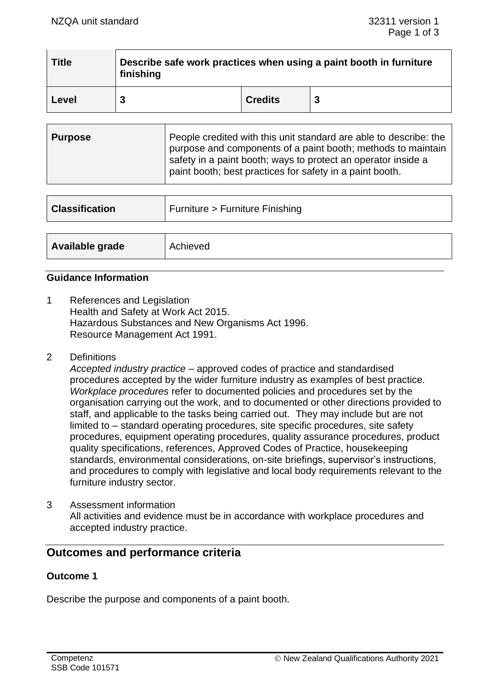| <b>Title</b> | Describe safe work practices when using a paint booth in furniture<br>finishing |                |   |
|--------------|---------------------------------------------------------------------------------|----------------|---|
| Level        |                                                                                 | <b>Credits</b> | 3 |

| <b>Purpose</b> | People credited with this unit standard are able to describe: the<br>purpose and components of a paint booth; methods to maintain<br>safety in a paint booth; ways to protect an operator inside a<br>paint booth; best practices for safety in a paint booth. |
|----------------|----------------------------------------------------------------------------------------------------------------------------------------------------------------------------------------------------------------------------------------------------------------|
|----------------|----------------------------------------------------------------------------------------------------------------------------------------------------------------------------------------------------------------------------------------------------------------|

| <b>Classification</b> | Furniture > Furniture Finishing |
|-----------------------|---------------------------------|
|                       |                                 |
| Available grade       | Achieved                        |

#### **Guidance Information**

- 1 References and Legislation Health and Safety at Work Act 2015. Hazardous Substances and New Organisms Act 1996. Resource Management Act 1991.
- 2 Definitions

*Accepted industry practice* – approved codes of practice and standardised procedures accepted by the wider furniture industry as examples of best practice. *Workplace procedures* refer to documented policies and procedures set by the organisation carrying out the work, and to documented or other directions provided to staff, and applicable to the tasks being carried out. They may include but are not limited to – standard operating procedures, site specific procedures, site safety procedures, equipment operating procedures, quality assurance procedures, product quality specifications, references, Approved Codes of Practice, housekeeping standards, environmental considerations, on-site briefings, supervisor's instructions, and procedures to comply with legislative and local body requirements relevant to the furniture industry sector.

3 Assessment information All activities and evidence must be in accordance with workplace procedures and accepted industry practice.

# **Outcomes and performance criteria**

#### **Outcome 1**

Describe the purpose and components of a paint booth.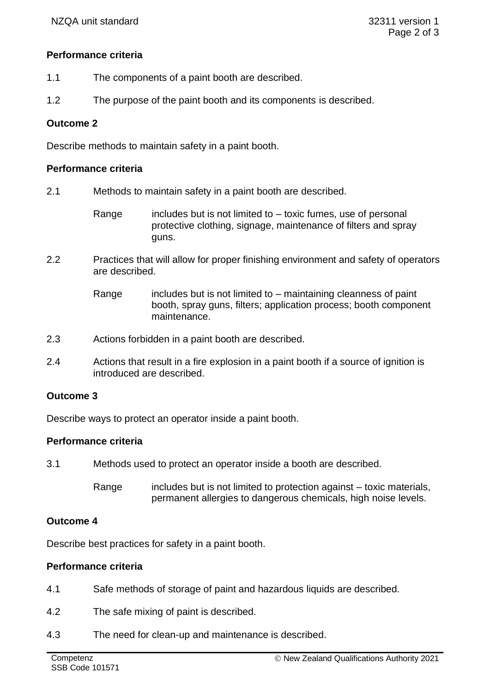# **Performance criteria**

- 1.1 The components of a paint booth are described.
- 1.2 The purpose of the paint booth and its components is described.

## **Outcome 2**

Describe methods to maintain safety in a paint booth.

## **Performance criteria**

- 2.1 Methods to maintain safety in a paint booth are described.
	- Range includes but is not limited to  $-$  toxic fumes, use of personal protective clothing, signage, maintenance of filters and spray guns.
- 2.2 Practices that will allow for proper finishing environment and safety of operators are described.
	- Range includes but is not limited to  $-$  maintaining cleanness of paint booth, spray guns, filters; application process; booth component maintenance.
- 2.3 Actions forbidden in a paint booth are described.
- 2.4 Actions that result in a fire explosion in a paint booth if a source of ignition is introduced are described.

#### **Outcome 3**

Describe ways to protect an operator inside a paint booth.

#### **Performance criteria**

- 3.1 Methods used to protect an operator inside a booth are described.
	- Range includes but is not limited to protection against toxic materials, permanent allergies to dangerous chemicals, high noise levels.

## **Outcome 4**

Describe best practices for safety in a paint booth.

#### **Performance criteria**

- 4.1 Safe methods of storage of paint and hazardous liquids are described.
- 4.2 The safe mixing of paint is described.
- 4.3 The need for clean-up and maintenance is described.